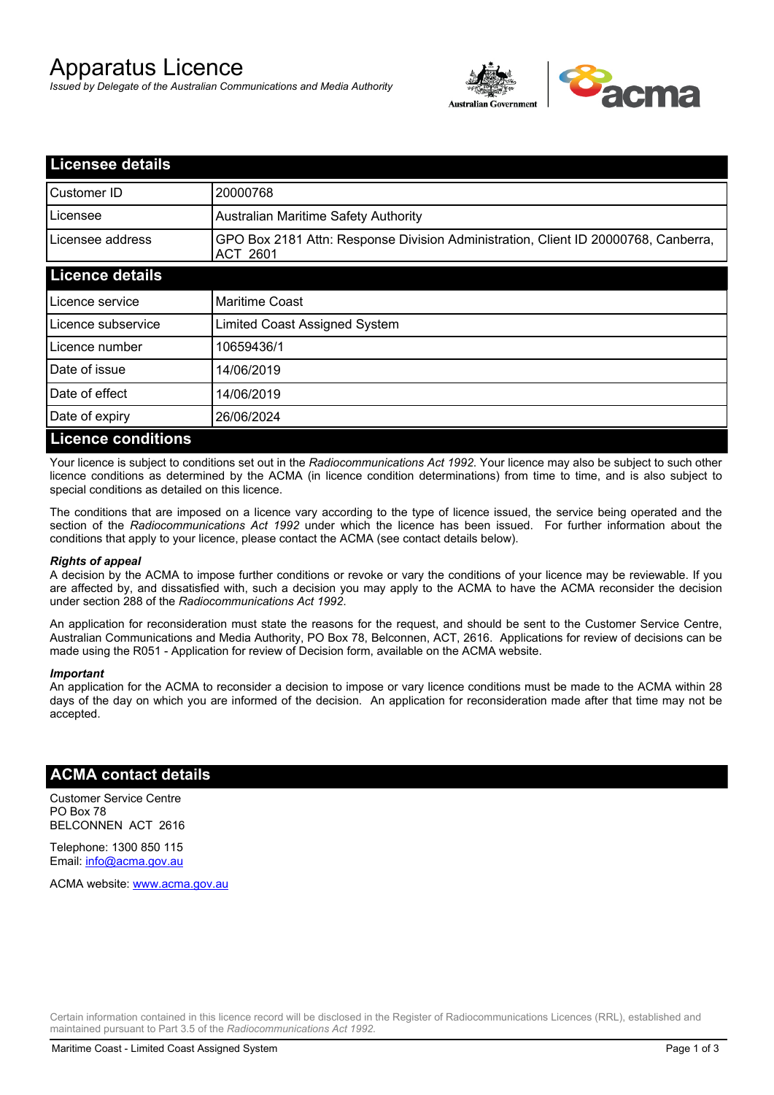# Apparatus Licence

*Issued by Delegate of the Australian Communications and Media Authority*



| <b>Licensee details</b>   |                                                                                                |
|---------------------------|------------------------------------------------------------------------------------------------|
| Customer ID               | 20000768                                                                                       |
| Licensee                  | <b>Australian Maritime Safety Authority</b>                                                    |
| Licensee address          | GPO Box 2181 Attn: Response Division Administration, Client ID 20000768, Canberra,<br>ACT 2601 |
| <b>Licence details</b>    |                                                                                                |
| Licence service           | <b>Maritime Coast</b>                                                                          |
| Licence subservice        | Limited Coast Assigned System                                                                  |
| Licence number            | 10659436/1                                                                                     |
| Date of issue             | 14/06/2019                                                                                     |
| Date of effect            | 14/06/2019                                                                                     |
| Date of expiry            | 26/06/2024                                                                                     |
| <b>Licence conditions</b> |                                                                                                |

Your licence is subject to conditions set out in the *Radiocommunications Act 1992*. Your licence may also be subject to such other licence conditions as determined by the ACMA (in licence condition determinations) from time to time, and is also subject to special conditions as detailed on this licence.

The conditions that are imposed on a licence vary according to the type of licence issued, the service being operated and the section of the *Radiocommunications Act 1992* under which the licence has been issued. For further information about the conditions that apply to your licence, please contact the ACMA (see contact details below).

### *Rights of appeal*

A decision by the ACMA to impose further conditions or revoke or vary the conditions of your licence may be reviewable. If you are affected by, and dissatisfied with, such a decision you may apply to the ACMA to have the ACMA reconsider the decision under section 288 of the *Radiocommunications Act 1992*.

An application for reconsideration must state the reasons for the request, and should be sent to the Customer Service Centre, Australian Communications and Media Authority, PO Box 78, Belconnen, ACT, 2616. Applications for review of decisions can be made using the R051 - Application for review of Decision form, available on the ACMA website.

#### *Important*

An application for the ACMA to reconsider a decision to impose or vary licence conditions must be made to the ACMA within 28 days of the day on which you are informed of the decision. An application for reconsideration made after that time may not be accepted.

### **ACMA contact details**

Customer Service Centre PO Box 78 BELCONNEN ACT 2616

Telephone: 1300 850 115 Email: info@acma.gov.au

ACMA website: www.acma.gov.au

Certain information contained in this licence record will be disclosed in the Register of Radiocommunications Licences (RRL), established and maintained pursuant to Part 3.5 of the *Radiocommunications Act 1992.*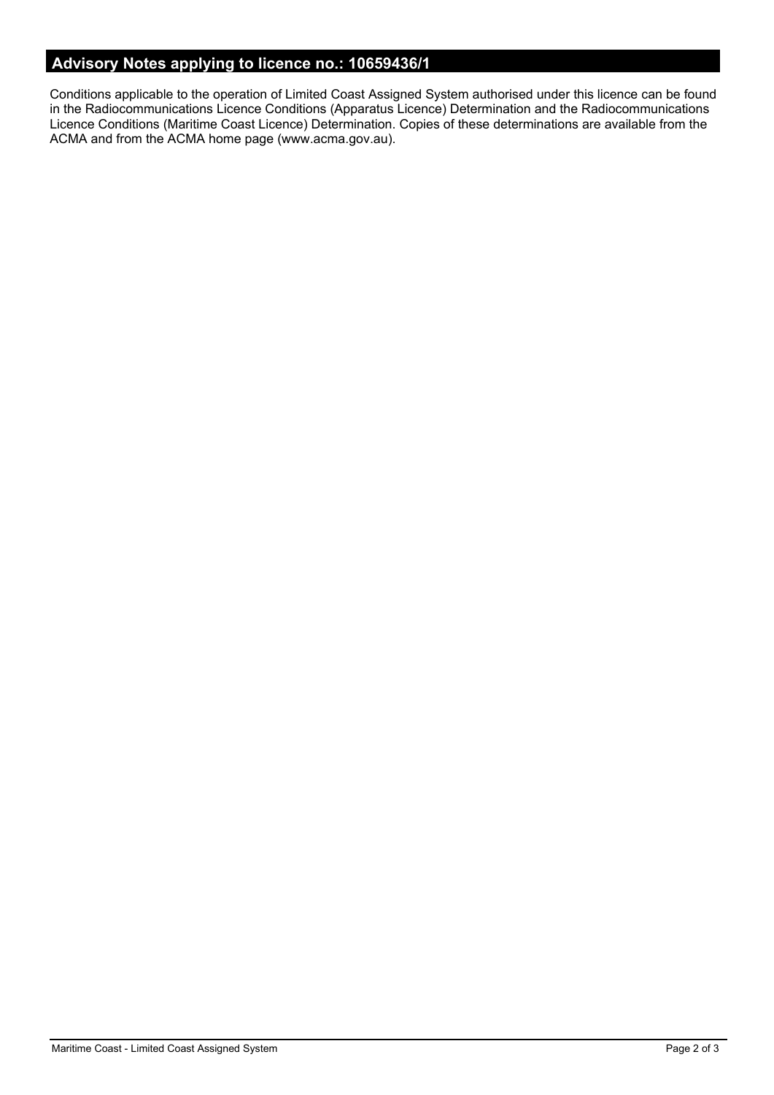# **Advisory Notes applying to licence no.: 10659436/1**

Conditions applicable to the operation of Limited Coast Assigned System authorised under this licence can be found in the Radiocommunications Licence Conditions (Apparatus Licence) Determination and the Radiocommunications Licence Conditions (Maritime Coast Licence) Determination. Copies of these determinations are available from the ACMA and from the ACMA home page (www.acma.gov.au).